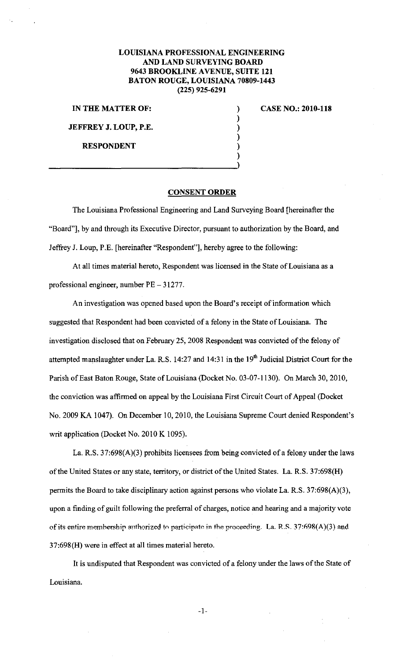## LOUISIANA PROFESSIONAL ENGINEERING AND LAND SURVEYING BOARD 9643 BROOKLINE AVENUE, SUITE 121 BATON ROUGE, LOUISIANA 70809-1443 (225) 925-6291

) ) ) ) ) )

IN THE MATTER OF:

JEFFREY J. LOUP, P.E.

RESPONDENT

CASE NO.: 2010-118

## CONSENT ORDER

The Louisiana Professional Engineering and Land Surveying Board (hereinafter the "Board"], by and through its Executive Director, pursuant to authorization by the Board, and Jeffrey J. Loup, P.E. [hereinafter "Respondent"], hereby agree to the following:

At all times material hereto, Respondent was licensed in the State of Louisiana as a professional engineer, number PE- 31277.

An investigation was opened based upon the Board's receipt of information which suggested that Respondent had been convicted of a felony in the State of Louisiana. The investigation disclosed that on February 25, 2008 Respondent was convicted of the felony of attempted manslaughter under La. R.S. 14:27 and 14:31 in the 19<sup>th</sup> Judicial District Court for the Parish of East Baton Rouge, State of Louisiana (Docket No. 03-07-1130). On March 30, 2010, the conviction was affirmed on appeal by the Louisiana First Circuit Court of Appeal (Docket No. 2009 KA 1047). On December 10, 2010, the Louisiana Supreme Court denied Respondent's writ application (Docket No. 2010 K 1095).

La. R.S. 37:698(A)(3) prohibits licensees from being convicted of a felony under the laws of the United States or any state, territory, or district of the United States. La. R.S. 37:698(H) permits the Board to take disciplinary action against persons who violate La. R.S. 37:698(A)(3), upon a finding of guilt following the preferral of charges, notice and hearing and a majority vote of its entire membership authorized to participate in the proceeding. La. R.S. 37:698(A)(3) and 3 7:698 (H) were in effect at all times material hereto.

It is undisputed that Respondent was convicted of a felony under the laws of the State of Louisiana.

-1-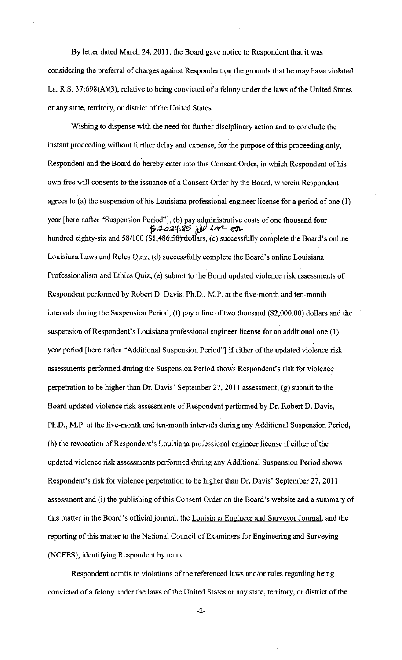By letter dated March 24, 2011, the Board gave notice to Respondent that it was considering the preferral of charges against Respondent on the grounds that he may have violated La. R.S. 37:698(A)(3), relative to being convicted of a felony under the laws of the United States or any state, territory, or district of the United States.

Wishing to dispense with the need for finther disciplinary action and to conclude the instant proceeding without further delay and expense, for the purpose of this proceeding only, Respondent and the Board do hereby enter into this Consent Order, in which Respondent of his own free will consents to the issuance of a Consent Order by the Board, wherein Respondent agrees to (a) the suspension of his Louisiana professional engineer license for a period of one (I) year [hereinafter "Suspension Period"], (b) pay administrative costs of one thousand four  $#2024.85$   $h^{1/2}$   $4m$   $\sigma$ n hundred eighty-six and 58/100 (\$1,486.58) dollars, (c) successfully complete the Board's online Louisiana Laws and Rules Quiz, (d) successfully complete the Board's online Louisiana Professionalism and Ethics Quiz, (e) submit to the Board updated violence risk assessments of Respondent performed by Robert D. Davis, Ph.D., M.P. at the five-month and ten-month intervals during the Suspension Period, (f) pay a fine of two thousand (\$2,000.00) dollars and the suspension of Respondent's Louisiana professional engineer license for an additional one (I) year period [hereinafter "Additional Suspension Period"] if either of the updated violence risk assessments performed during the Suspension Period shows Respondent's risk for violence perpetration to be higher than Dr. Davis' September 27, 2011 assessment, (g) submit to the Board updated violence risk assessments of Respondent performed by Dr. Robert D. Davis, Ph.D., M.P. at the five-month and ten-month intervals during any Additional Suspension Period, (h) the revocation of Respondent's Louisiana professional engineer license if either of the updated violence risk assessments performed during any Additional Suspension Period shows Respondent's risk for violence perpetration to be higher than Dr. Davis' September 27, 2011 assessment and (i) the publishing of this Consent Order on the Board's website and a summary of this matter in the Board's official journal, the Louisiana Engineer and Surveyor Journal, and the reporting of this matter to the National Council of Examiners for Engineering and Surveying (NCEES), identifying Respondent by name.

Respondent admits to violations of the referenced laws and/or rules regarding being convicted of a felony under the laws of the United States or any state, territory, or district of the

-2-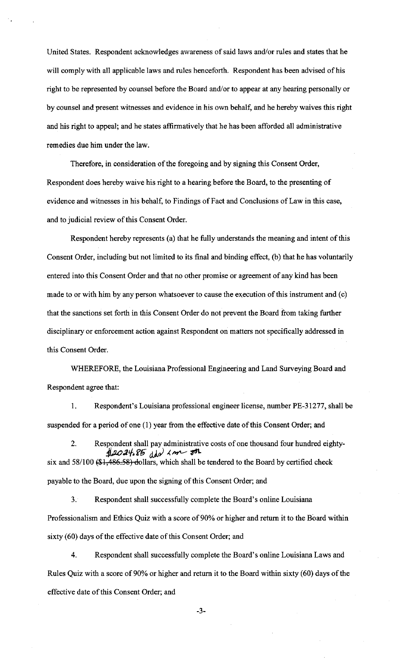United States. Respondent acknowledges awareness of said laws and/or rules and states that he will comply with all applicable laws and rules henceforth. Respondent has been advised of his right to be represented by counsel before the Board and/or to appear at any hearing personally or by counsel and present witnesses and evidence in his own behalf, and he hereby waives this right and his right to appeal; and he states affirmatively that he has been afforded all administrative remedies due him under the law.

Therefore, in consideration of the foregoing and by signing this Consent Order, Respondent does hereby waive his right to a hearing before the Board, to the presenting of evidence and witnesses in his behalf, to Findings of Fact and Conclusions of Law in this case, and to judicial review of this Consent Order.

Respondent hereby represents (a) that he fully understands the meaning and intent of this Consent Order, including but not limited to its final and binding effect, (b) that he has voluntarily entered into this Consent Order and that no other promise or agreement of any kind has been made to or with him by any person whatsoever to cause the execution of this instrument and (c) that the sanctions set forth in this Consent Order do not prevent the Board from taking further disciplinary or enforcement action against Respondent on matters not specifically addressed in this Consent Order.

WHEREFORE, the Louisiana Professional Engineering and Land Surveying Board and Respondent agree that:

1. Respondent's Louisiana professional engineer license, number PE-31277, shall be suspended for a period of one (I) year from the effective date of this Consent Order; and

2. Respondent shall pay administrative costs of one thousand four hundred eighty-*4/.:u>* :1 tf, ~li ()).p) I, 11<1'1--' ~ six and  $58/100$  (\$1,486.58) dollars, which shall be tendered to the Board by certified check payable to the Board, due upon the signing of this Consent Order; and

3. Respondent shall successfully complete the Board's online Louisiana Professionalism and Ethics Quiz with a score of 90% or higher and return it to the Board within sixty (60) days of the effective date of this Consent Order; and

4. Respondent shall successfully complete the Board's online Louisiana Laws and Rules Quiz with a score of 90% or higher and return it to the Board within sixty (60) days of the effective date of this Consent Order; and

-3-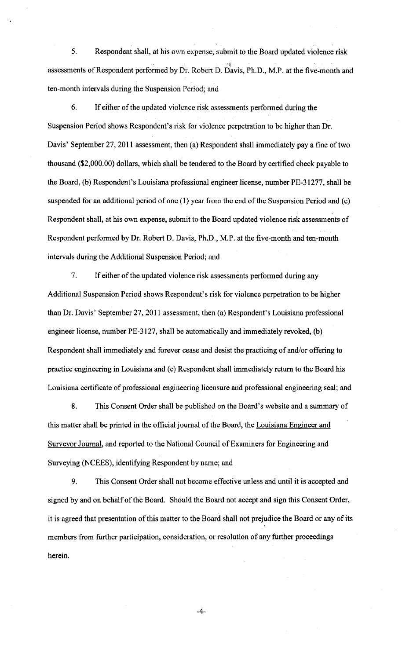5. Respondent shall, at his own expense, submit to the Board updated violence risk assessments of Respondent performed by Dr. Robert D. Davis, Ph.D., M.P. at the five-month and ten-month intervals during the Suspension Period; and

6. If either of the updated violence risk assessments performed during the Suspension Period shows Respondent's risk for violence perpetration to be higher than Dr. Davis' September 27, 2011 assessment, then (a) Respondent shall immediately pay a fine of two thousand (\$2,000.00) dollars, which shall be tendered to the Board by certified check payable to the Board, (b) Respondent's Louisiana professional engineer license, number PE-31277, shall be suspended for an additional period of one (1) year from the end of the Suspension Period and (c) Respondent shall, at his own expense, submit to the Board updated violence risk assessments of Respondent performed by Dr. Robert D. Davis, Ph.D., M.P. at the five-month and ten-month intervals during the Additional Suspension Period; and

7. If either of the updated violence risk assessments performed during any Additional Suspension Period shows Respondent's risk for violence perpetration to be higher than Dr. Davis' September 27,2011 assessment, then (a) Respondent's Louisiana professional engineer license, number PE-3127, shall be automatically and immediately revoked, (b) Respondent shall immediately and forever cease and desist the practicing of and/or offering to practice engineering in Louisiana and (c) Respondent shall immediately return to the Board his Louisiana certificate of professional engineering licensure and professional engineering seal; and

8. This Consent Order shall be published on the Board's website and a summary of this matter shall be printed in the official journal of the Board, the Louisiana Engineer and Surveyor Journal, and reported to the National Council of Examiners for Engineering and Surveying (NCEES), identifying Respondent by name; and

9. This Consent Order shall not become effective unless and until it is accepted and signed by and on behalf of the Board. Should the Board not accept and sign this Consent Order, it is agreed that presentation of this matter to the Board shall not prejudice the Board or any of its members from further participation, consideration, or resolution of any further proceedings herein.

-4-